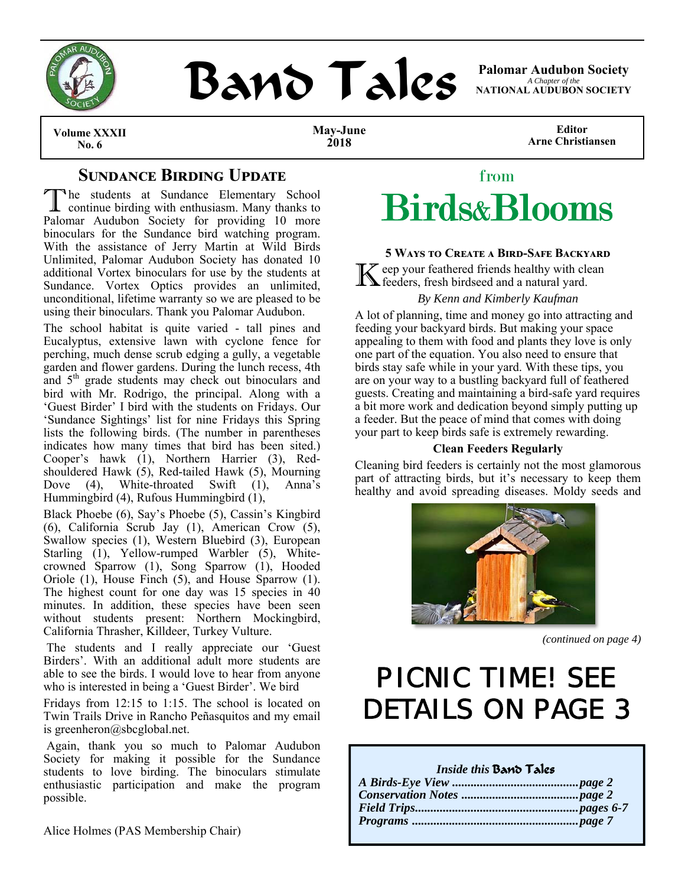

# **BAND TAILS** Palomar Audubon Society

*A Chapter of the*  **NATIONAL AUDUBON SOCIETY** 

**Volume XXXII No. 6** 

**May-June 2018** 

**Editor Arne Christiansen** 

## **SUNDANCE BIRDING UPDATE**

T he students at Sundance Elementary School continue birding with enthusiasm. Many thanks to Palomar Audubon Society for providing 10 more binoculars for the Sundance bird watching program. With the assistance of Jerry Martin at Wild Birds Unlimited, Palomar Audubon Society has donated 10 additional Vortex binoculars for use by the students at Sundance. Vortex Optics provides an unlimited, unconditional, lifetime warranty so we are pleased to be using their binoculars. Thank you Palomar Audubon.

The school habitat is quite varied - tall pines and Eucalyptus, extensive lawn with cyclone fence for perching, much dense scrub edging a gully, a vegetable garden and flower gardens. During the lunch recess, 4th and 5<sup>th</sup> grade students may check out binoculars and bird with Mr. Rodrigo, the principal. Along with a 'Guest Birder' I bird with the students on Fridays. Our 'Sundance Sightings' list for nine Fridays this Spring lists the following birds. (The number in parentheses indicates how many times that bird has been sited.) Cooper's hawk (1), Northern Harrier (3), Redshouldered Hawk (5), Red-tailed Hawk (5), Mourning Dove (4), White-throated Swift (1), Anna's Hummingbird (4), Rufous Hummingbird (1),

Black Phoebe (6), Say's Phoebe (5), Cassin's Kingbird (6), California Scrub Jay (1), American Crow (5), Swallow species (1), Western Bluebird (3), European Starling  $(1)$ , Yellow-rumped Warbler  $(5)$ , Whitecrowned Sparrow (1), Song Sparrow (1), Hooded Oriole (1), House Finch (5), and House Sparrow (1). The highest count for one day was 15 species in 40 minutes. In addition, these species have been seen without students present: Northern Mockingbird, California Thrasher, Killdeer, Turkey Vulture.

 The students and I really appreciate our 'Guest Birders'. With an additional adult more students are able to see the birds. I would love to hear from anyone who is interested in being a 'Guest Birder'. We bird

Fridays from 12:15 to 1:15. The school is located on Twin Trails Drive in Rancho Peñasquitos and my email is greenheron@sbcglobal.net.

 Again, thank you so much to Palomar Audubon Society for making it possible for the Sundance students to love birding. The binoculars stimulate enthusiastic participation and make the program possible.

Alice Holmes (PAS Membership Chair)



## 5 WAYS TO CREATE A **BIRD-SAFE BACKYARD**

K eep your feathered friends healthy with clean feeders, fresh birdseed and a natural yard.

## *By Kenn and Kimberly Kaufman*

A lot of planning, time and money go into attracting and feeding your backyard birds. But making your space appealing to them with food and plants they love is only one part of the equation. You also need to ensure that birds stay safe while in your yard. With these tips, you are on your way to a bustling backyard full of feathered guests. Creating and maintaining a bird-safe yard requires a bit more work and dedication beyond simply putting up a feeder. But the peace of mind that comes with doing your part to keep birds safe is extremely rewarding.

#### **Clean Feeders Regularly**

Cleaning bird feeders is certainly not the most glamorous part of attracting birds, but it's necessary to keep them healthy and avoid spreading diseases. Moldy seeds and



*(continued on page 4)* 

## PICNIC TIME! SEE DETAILS ON PAGE 3

## *Inside this* Band Tales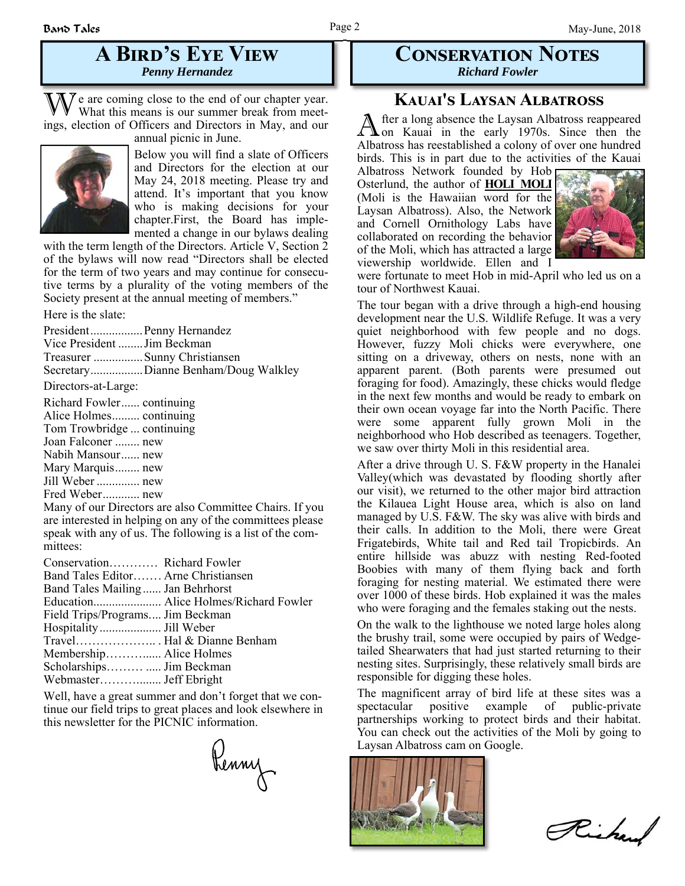## **A BIRD'S EYE VIEW** *Penny Hernandez*

We are coming close to the end of our chapter year.<br>What this means is our summer break from meetings, election of Officers and Directors in May, and our annual picnic in June.



Below you will find a slate of Officers and Directors for the election at our May 24, 2018 meeting. Please try and attend. It's important that you know who is making decisions for your chapter.First, the Board has implemented a change in our bylaws dealing

with the term length of the Directors. Article V, Section 2 of the bylaws will now read "Directors shall be elected for the term of two years and may continue for consecutive terms by a plurality of the voting members of the Society present at the annual meeting of members."

Here is the slate:

President ................. Penny Hernandez Vice President ........ Jim Beckman Treasurer ................ Sunny Christiansen Secretary ................. Dianne Benham/Doug Walkley

Directors-at-Large:

Richard Fowler ...... continuing Alice Holmes ......... continuing Tom Trowbridge ... continuing Joan Falconer ........ new Nabih Mansour ...... new Mary Marquis ........ new Jill Weber .............. new Fred Weber ............ new

Many of our Directors are also Committee Chairs. If you are interested in helping on any of the committees please speak with any of us. The following is a list of the committees:

| Conservation Richard Fowler           |
|---------------------------------------|
| Band Tales Editor Arne Christiansen   |
| Band Tales Mailing Jan Behrhorst      |
| Education Alice Holmes/Richard Fowler |
| Field Trips/Programs Jim Beckman      |
|                                       |
| Travel Hal & Dianne Benham            |
| Membership Alice Holmes               |
|                                       |
| Webmaster Jeff Ebright                |
|                                       |

Well, have a great summer and don't forget that we continue our field trips to great places and look elsewhere in this newsletter for the PICNIC information.

Renny

## **CONSERVATION NOTES** *Richard Fowler*

## **KAUAI'S LAYSAN ALBATROSS**

A fter a long absence the Laysan Albatross reappeared<br>
on Kauai in the early 1970s. Since then the Albatross has reestablished a colony of over one hundred birds. This is in part due to the activities of the Kauai

Albatross Network founded by Hob Osterlund, the author of **HOLI MOLI** (Moli is the Hawaiian word for the Laysan Albatross). Also, the Network and Cornell Ornithology Labs have collaborated on recording the behavior of the Moli, which has attracted a large viewership worldwide. Ellen and I



were fortunate to meet Hob in mid-April who led us on a tour of Northwest Kauai.

The tour began with a drive through a high-end housing development near the U.S. Wildlife Refuge. It was a very quiet neighborhood with few people and no dogs. However, fuzzy Moli chicks were everywhere, one sitting on a driveway, others on nests, none with an apparent parent. (Both parents were presumed out foraging for food). Amazingly, these chicks would fledge in the next few months and would be ready to embark on their own ocean voyage far into the North Pacific. There were some apparent fully grown Moli in the neighborhood who Hob described as teenagers. Together, we saw over thirty Moli in this residential area.

After a drive through U. S. F&W property in the Hanalei Valley(which was devastated by flooding shortly after our visit), we returned to the other major bird attraction the Kilauea Light House area, which is also on land managed by U.S. F&W. The sky was alive with birds and their calls. In addition to the Moli, there were Great Frigatebirds, White tail and Red tail Tropicbirds. An entire hillside was abuzz with nesting Red-footed Boobies with many of them flying back and forth foraging for nesting material. We estimated there were over 1000 of these birds. Hob explained it was the males who were foraging and the females staking out the nests.

On the walk to the lighthouse we noted large holes along the brushy trail, some were occupied by pairs of Wedgetailed Shearwaters that had just started returning to their nesting sites. Surprisingly, these relatively small birds are responsible for digging these holes.

The magnificent array of bird life at these sites was a spectacular positive example of public-private partnerships working to protect birds and their habitat. You can check out the activities of the Moli by going to Laysan Albatross cam on Google.



Richard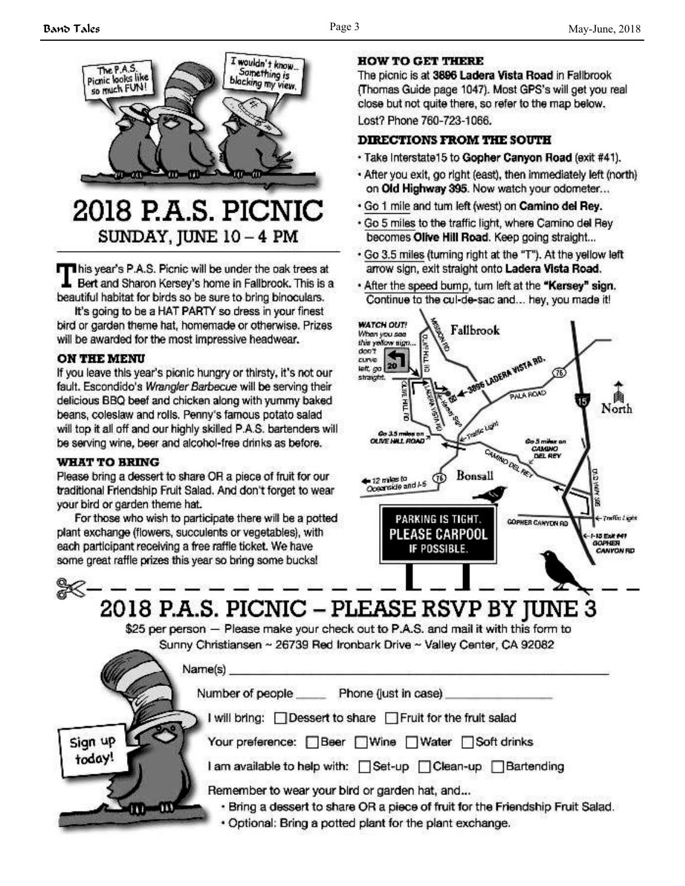

## 2018 P.A.S. PICNIC SUNDAY, JUNE 10 - 4 PM

This year's P.A.S. Picnic will be under the oak trees at Bert and Sharon Kersey's home in Fallbrook. This is a beautiful habitat for birds so be sure to bring binoculars.

It's going to be a HAT PARTY so dress in your finest bird or garden theme hat, homemade or otherwise. Prizes will be awarded for the most impressive headwear.

#### **ON THE MENU**

If you leave this year's picnic hungry or thirsty, it's not our fault. Escondido's Wrangler Barbecue will be serving their delicious BBQ beef and chicken along with yummy baked beans, coleslaw and rolls. Penny's famous potato salad will top it all off and our highly skilled P.A.S. bartenders will be serving wine, beer and alcohol-free drinks as before.

#### **WHAT TO BRING**

Please bring a dessert to share OR a piece of fruit for our traditional Friendship Fruit Salad. And don't forget to wear your bird or garden theme hat.

For those who wish to participate there will be a potted plant exchange (flowers, succulents or vegetables), with each participant receiving a free raffle ticket. We have some great raffle prizes this year so bring some bucks!

## **HOW TO GET THERE**

The picnic is at 3896 Ladera Vista Road in Fallbrook (Thomas Guide page 1047). Most GPS's will get you real close but not quite there, so refer to the map below. Lost? Phone 760-723-1066.

## **DIRECTIONS FROM THE SOUTH**

- · Take Interstate15 to Gopher Canyon Road (exit #41).
- . After you exit, go right (east), then immediately left (north) on Old Highway 395. Now watch your odometer...
- . Go 1 mile and tum left (west) on Camino del Rey.
- . Go 5 miles to the traffic light, where Camino del Rey becomes Olive Hill Road. Keep going straight...
- . Go 3.5 miles (turning right at the "T"). At the yellow left arrow sign, exit straight onto Ladera Vista Road.
- . After the speed bump, tum left at the "Kersey" sign. Continue to the cul-de-sac and... hey, you made it!



℁ 2018 P.A.S. PICNIC – PLEASE RSVP BY JUNE 3 \$25 per person - Please make your check out to P.A.S. and mail it with this form to Sunny Christiansen ~ 26739 Red Ironbark Drive ~ Valley Center, CA 92082

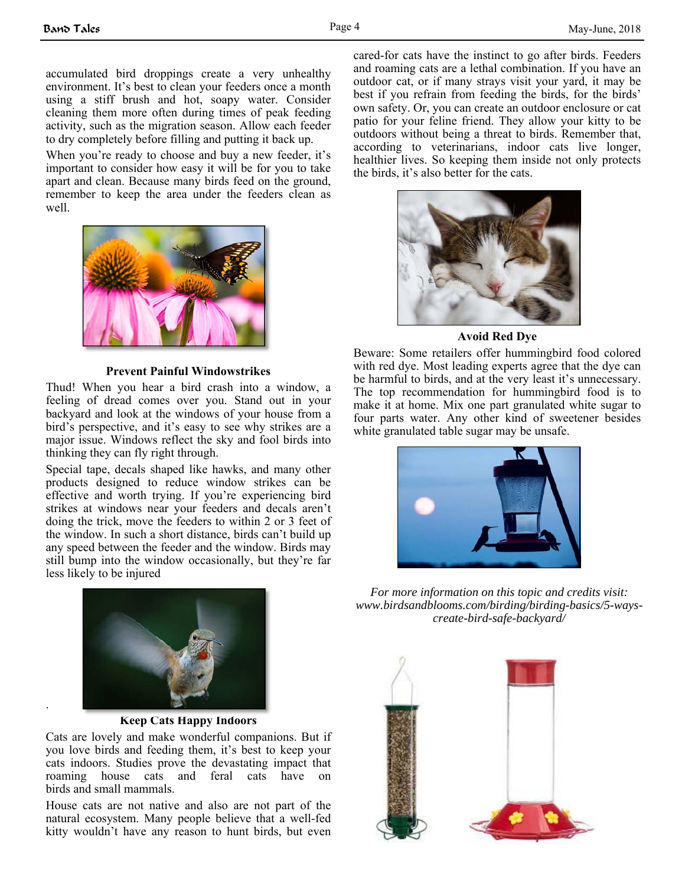accumulated bird droppings create a very unhealthy environment. It's best to clean your feeders once a month using a stiff brush and hot, soapy water. Consider cleaning them more often during times of peak feeding activity, such as the migration season. Allow each feeder to dry completely before filling and putting it back up.

When you're ready to choose and buy a new feeder, it's important to consider how easy it will be for you to take apart and clean. Because many birds feed on the ground, remember to keep the area under the feeders clean as well.



**Prevent Painful Windowstrikes** 

Thud! When you hear a bird crash into a window, a feeling of dread comes over you. Stand out in your backyard and look at the windows of your house from a bird's perspective, and it's easy to see why strikes are a major issue. Windows reflect the sky and fool birds into thinking they can fly right through.

Special tape, decals shaped like hawks, and many other products designed to reduce window strikes can be effective and worth trying. If you're experiencing bird strikes at windows near your feeders and decals aren't doing the trick, move the feeders to within 2 or 3 feet of the window. In such a short distance, birds can't build up any speed between the feeder and the window. Birds may still bump into the window occasionally, but they're far less likely to be injured



.

**Keep Cats Happy Indoors** 

Cats are lovely and make wonderful companions. But if you love birds and feeding them, it's best to keep your cats indoors. Studies prove the devastating impact that roaming house cats and feral cats have on birds and small mammals.

House cats are not native and also are not part of the natural ecosystem. Many people believe that a well-fed kitty wouldn't have any reason to hunt birds, but even cared-for cats have the instinct to go after birds. Feeders and roaming cats are a lethal combination. If you have an outdoor cat, or if many strays visit your yard, it may be best if you refrain from feeding the birds, for the birds' own safety. Or, you can create an outdoor enclosure or cat patio for your feline friend. They allow your kitty to be outdoors without being a threat to birds. Remember that, according to veterinarians, indoor cats live longer, healthier lives. So keeping them inside not only protects the birds, it's also better for the cats.



**Avoid Red Dye** 

Beware: Some retailers offer hummingbird food colored with red dye. Most leading experts agree that the dye can be harmful to birds, and at the very least it's unnecessary. The top recommendation for hummingbird food is to make it at home. Mix one part granulated white sugar to four parts water. Any other kind of sweetener besides white granulated table sugar may be unsafe.



*For more information on this topic and credits visit: www.birdsandblooms.com/birding/birding-basics/5-wayscreate-bird-safe-backyard/* 

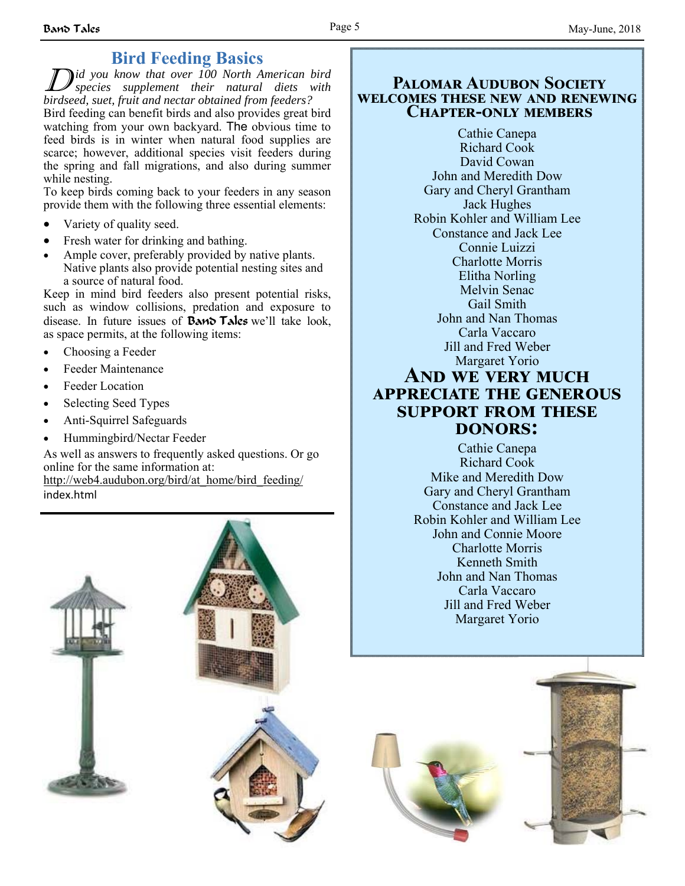## **Bird Feeding Basics**

D *id you know that over 100 North American bird species supplement their natural diets with birdseed, suet, fruit and nectar obtained from feeders?* Bird feeding can benefit birds and also provides great bird watching from your own backyard. The obvious time to feed birds is in winter when natural food supplies are scarce; however, additional species visit feeders during the spring and fall migrations, and also during summer while nesting.

To keep birds coming back to your feeders in any season provide them with the following three essential elements:

- Variety of quality seed.
- Fresh water for drinking and bathing.
- Ample cover, preferably provided by native plants. Native plants also provide potential nesting sites and a source of natural food.

Keep in mind bird feeders also present potential risks, such as window collisions, predation and exposure to disease. In future issues of **Band Tales** we'll take look, as space permits, at the following items:

- Choosing a Feeder
- Feeder Maintenance
- Feeder Location
- Selecting Seed Types
- Anti-Squirrel Safeguards
- Hummingbird/Nectar Feeder

As well as answers to frequently asked questions. Or go online for the same information at: http://web4.audubon.org/bird/at\_home/bird\_feeding/ index.html

## **PALOMAR AUDURON SOCIETY WELCOMES THESE NEW AND RENEWING CHAPTER-ONLY MEMBERS**

Cathie Canepa Richard Cook David Cowan John and Meredith Dow Gary and Cheryl Grantham Jack Hughes Robin Kohler and William Lee Constance and Jack Lee Connie Luizzi Charlotte Morris Elitha Norling Melvin Senac Gail Smith John and Nan Thomas Carla Vaccaro Jill and Fred Weber Margaret Yorio **AND WE VERY MUCH** 

## **APPRECIATE THE GENEROUS SUPPORT FROM THESE DONORS:**

Cathie Canepa Richard Cook Mike and Meredith Dow Gary and Cheryl Grantham Constance and Jack Lee Robin Kohler and William Lee John and Connie Moore Charlotte Morris Kenneth Smith John and Nan Thomas Carla Vaccaro Jill and Fred Weber Margaret Yorio



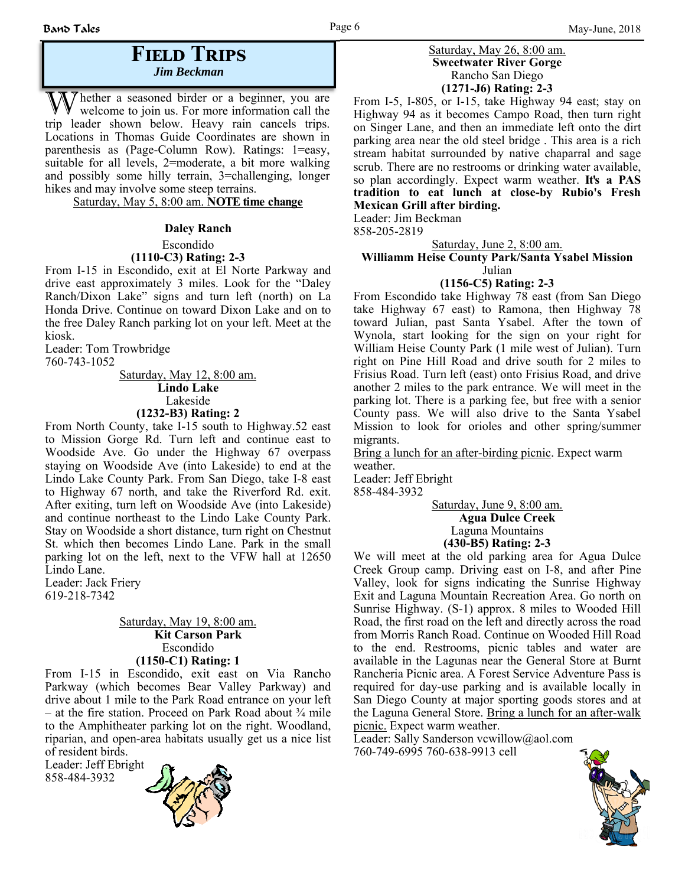## **FIELD TRIPS** *Jim Beckman*

W hether a seasoned birder or a beginner, you are welcome to join us. For more information call the trip leader shown below. Heavy rain cancels trips. Locations in Thomas Guide Coordinates are shown in parenthesis as (Page-Column Row). Ratings: 1=easy, suitable for all levels, 2=moderate, a bit more walking and possibly some hilly terrain, 3=challenging, longer hikes and may involve some steep terrains.

Saturday, May 5, 8:00 am. **NOTE time change**

#### **Daley Ranch**

Escondido

#### **(1110-C3) Rating: 2-3**

From I-15 in Escondido, exit at El Norte Parkway and drive east approximately 3 miles. Look for the "Daley Ranch/Dixon Lake" signs and turn left (north) on La Honda Drive. Continue on toward Dixon Lake and on to the free Daley Ranch parking lot on your left. Meet at the kiosk.

Leader: Tom Trowbridge 760-743-1052

Saturday, May 12, 8:00 am. **Lindo Lake** Lakeside **(1232-B3) Rating: 2**

From North County, take I-15 south to Highway.52 east to Mission Gorge Rd. Turn left and continue east to Woodside Ave. Go under the Highway 67 overpass staying on Woodside Ave (into Lakeside) to end at the Lindo Lake County Park. From San Diego, take I-8 east to Highway 67 north, and take the Riverford Rd. exit. After exiting, turn left on Woodside Ave (into Lakeside) and continue northeast to the Lindo Lake County Park. Stay on Woodside a short distance, turn right on Chestnut St. which then becomes Lindo Lane. Park in the small parking lot on the left, next to the VFW hall at 12650 Lindo Lane.

Leader: Jack Friery 619-218-7342

#### Saturday, May 19, 8:00 am.  **Kit Carson Park** Escondido **(1150-C1) Rating: 1**

From I-15 in Escondido, exit east on Via Rancho Parkway (which becomes Bear Valley Parkway) and drive about 1 mile to the Park Road entrance on your left – at the fire station. Proceed on Park Road about  $\frac{3}{4}$  mile to the Amphitheater parking lot on the right. Woodland, riparian, and open-area habitats usually get us a nice list of resident birds.

Leader: Jeff Ebright 858-484-3932



#### Saturday, May 26, 8:00 am. **Sweetwater River Gorge** Rancho San Diego **(1271-J6) Rating: 2-3**

From I-5, I-805, or I-15, take Highway 94 east; stay on Highway 94 as it becomes Campo Road, then turn right on Singer Lane, and then an immediate left onto the dirt parking area near the old steel bridge . This area is a rich stream habitat surrounded by native chaparral and sage scrub. There are no restrooms or drinking water available, so plan accordingly. Expect warm weather. **It's a PAS tradition to eat lunch at close-by Rubio's Fresh Mexican Grill after birding.**

Leader: Jim Beckman

858-205-2819

Saturday, June 2, 8:00 am.

#### **Williamm Heise County Park/Santa Ysabel Mission** Julian

**(1156-C5) Rating: 2-3** From Escondido take Highway 78 east (from San Diego take Highway 67 east) to Ramona, then Highway 78 toward Julian, past Santa Ysabel. After the town of Wynola, start looking for the sign on your right for William Heise County Park (1 mile west of Julian). Turn right on Pine Hill Road and drive south for 2 miles to Frisius Road. Turn left (east) onto Frisius Road, and drive another 2 miles to the park entrance. We will meet in the parking lot. There is a parking fee, but free with a senior County pass. We will also drive to the Santa Ysabel Mission to look for orioles and other spring/summer migrants.

Bring a lunch for an after-birding picnic. Expect warm weather.

Leader: Jeff Ebright 858-484-3932

> Saturday, June 9, 8:00 am.  **Agua Dulce Creek** Laguna Mountains **(430-B5) Rating: 2-3**

We will meet at the old parking area for Agua Dulce Creek Group camp. Driving east on I-8, and after Pine Valley, look for signs indicating the Sunrise Highway Exit and Laguna Mountain Recreation Area. Go north on Sunrise Highway. (S-1) approx. 8 miles to Wooded Hill Road, the first road on the left and directly across the road from Morris Ranch Road. Continue on Wooded Hill Road to the end. Restrooms, picnic tables and water are available in the Lagunas near the General Store at Burnt Rancheria Picnic area. A Forest Service Adventure Pass is required for day-use parking and is available locally in San Diego County at major sporting goods stores and at the Laguna General Store. Bring a lunch for an after-walk picnic. Expect warm weather.

Leader: Sally Sanderson vcwillow@aol.com 760-749-6995 760-638-9913 cell

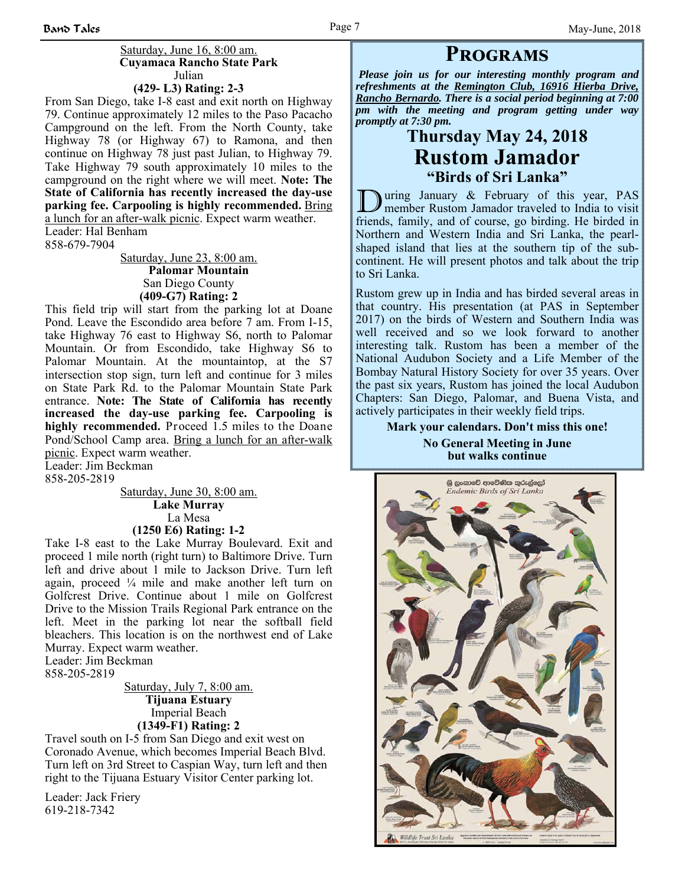#### Saturday, June 16, 8:00 am.  **Cuyamaca Rancho State Park** Julian

### **(429- L3) Rating: 2-3**

From San Diego, take I-8 east and exit north on Highway 79. Continue approximately 12 miles to the Paso Pacacho Campground on the left. From the North County, take Highway 78 (or Highway 67) to Ramona, and then continue on Highway 78 just past Julian, to Highway 79. Take Highway 79 south approximately 10 miles to the campground on the right where we will meet. **Note: The State of California has recently increased the day-use parking fee. Carpooling is highly recommended.** Bring a lunch for an after-walk picnic. Expect warm weather.

Leader: Hal Benham 858-679-7904

> Saturday, June 23, 8:00 am.  **Palomar Mountain** San Diego County **(409-G7) Rating: 2**

This field trip will start from the parking lot at Doane Pond. Leave the Escondido area before 7 am. From I-15, take Highway 76 east to Highway S6, north to Palomar Mountain. Or from Escondido, take Highway S6 to Palomar Mountain. At the mountaintop, at the S7 intersection stop sign, turn left and continue for 3 miles on State Park Rd. to the Palomar Mountain State Park entrance. **Note: The State of California has recently increased the day-use parking fee. Carpooling is highly recommended.** Proceed 1.5 miles to the Doane Pond/School Camp area. Bring a lunch for an after-walk picnic. Expect warm weather.

Leader: Jim Beckman 858-205-2819

> Saturday, June 30, 8:00 am. **Lake Murray** La Mesa **(1250 E6) Rating: 1-2**

Take I-8 east to the Lake Murray Boulevard. Exit and proceed 1 mile north (right turn) to Baltimore Drive. Turn left and drive about 1 mile to Jackson Drive. Turn left again, proceed ¼ mile and make another left turn on Golfcrest Drive. Continue about 1 mile on Golfcrest Drive to the Mission Trails Regional Park entrance on the left. Meet in the parking lot near the softball field bleachers. This location is on the northwest end of Lake Murray. Expect warm weather. Leader: Jim Beckman

858-205-2819

Saturday, July 7, 8:00 am. **Tijuana Estuary**  Imperial Beach **(1349-F1) Rating: 2**

Travel south on I-5 from San Diego and exit west on Coronado Avenue, which becomes Imperial Beach Blvd. Turn left on 3rd Street to Caspian Way, turn left and then right to the Tijuana Estuary Visitor Center parking lot.

Leader: Jack Friery 619-218-7342

*Please join us for our interesting monthly program and refreshments at the Remington Club, 16916 Hierba Drive, Rancho Bernardo. There is a social period beginning at 7:00 pm with the meeting and program getting under way promptly at 7:30 pm.*

**PROGRAMS** 

## **Thursday May 24, 2018 Rustom Jamador "Birds of Sri Lanka"**

During January & February of this year, PAS<br>member Rustom Jamador traveled to India to visit friends, family, and of course, go birding. He birded in Northern and Western India and Sri Lanka, the pearlshaped island that lies at the southern tip of the subcontinent. He will present photos and talk about the trip to Sri Lanka.

Rustom grew up in India and has birded several areas in that country. His presentation (at PAS in September 2017) on the birds of Western and Southern India was well received and so we look forward to another interesting talk. Rustom has been a member of the National Audubon Society and a Life Member of the Bombay Natural History Society for over 35 years. Over the past six years, Rustom has joined the local Audubon Chapters: San Diego, Palomar, and Buena Vista, and actively participates in their weekly field trips.

> **Mark your calendars. Don't miss this one! No General Meeting in June but walks continue**